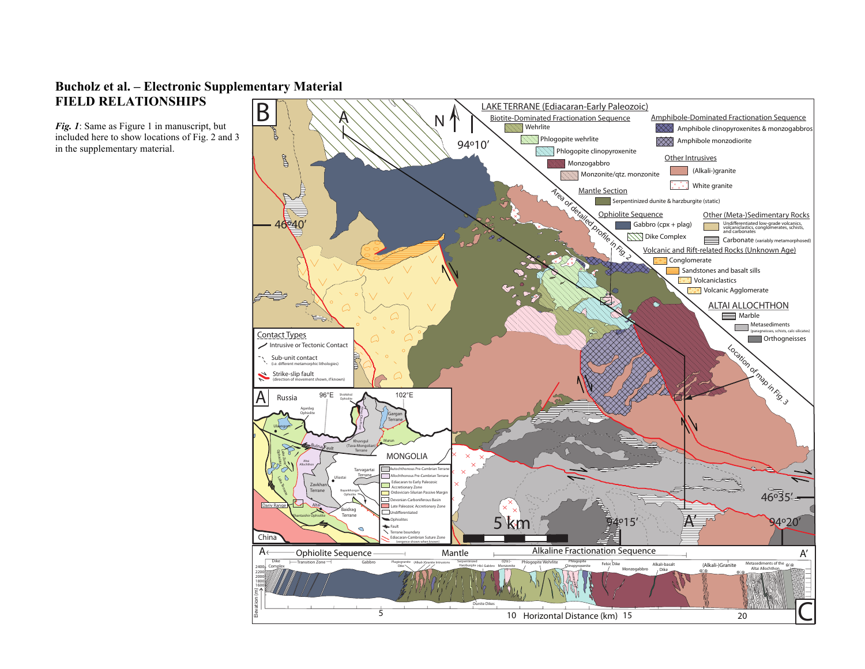## **Bucholz et al. – Electronic Supplementary Material FIELD RELATIONSHIPS**

*Fig.* 1: Same as Figure 1 in manuscript, but included here to show locations of Fig. 2 and 3 in the supplementary material.

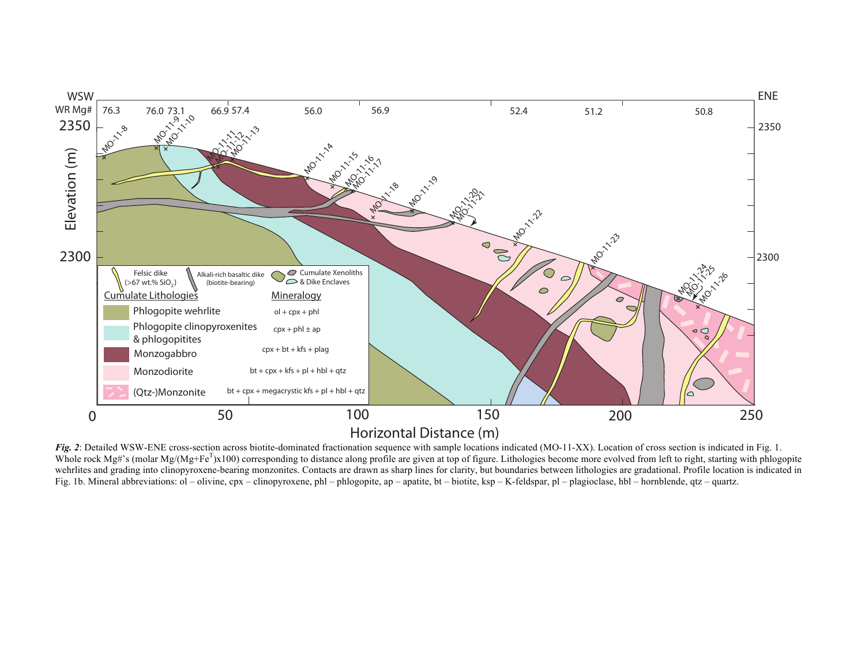

*Fig. 2*: Detailed WSW-ENE cross-section across biotite-dominated fractionation sequence with sample locations indicated (MO-11-XX). Location of cross section is indicated in Fig. 1. Whole rock Mg#'s (molar Mg/(Mg+Fe<sup>T</sup>)x100) corresponding to distance along profile are given at top of figure. Lithologies become more evolved from left to right, starting with phlogopite wehrlites and grading into clinopyroxene-bearing monzonites. Contacts are drawn as sharp lines for clarity, but boundaries between lithologies are gradational. Profile location is indicated in Fig. 1b. Mineral abbreviations: ol – olivine, cpx – clinopyroxene, phl – phlogopite, ap – apatite, bt – biotite, ksp – K-feldspar, pl – plagioclase, hbl – hornblende, qtz – quartz.